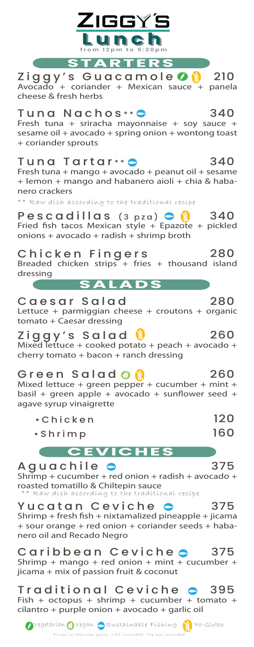

Yucatan Ceviche **e** 375  $Shrimp + fresh fish + nixtamalized pineapple + jicama$ + sour orange + red onion + coriander seeds + habanero oil and Recado Negro

Caribbean Ceviche 375 Shrimp + mango + red onion + mint + cucumber + jicama + mix of passion fruit & coconut

Traditional Ceviche 395 Fish + octopus + shrimp + cucumber + tomato + cilantro + purple onion + avocado + garlic oil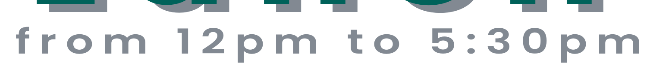